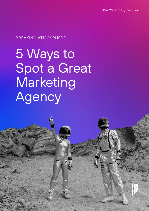#### BREAKING ATMOSPHERE

5 Ways to Spot a Great Marketing Agency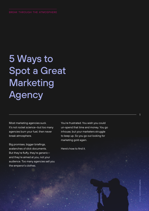## 5 Ways to Spot a Great **Marketing Agency**

Most marketing agencies suck. It's not rocket science—but too many agencies burn your fuel, then never break atmosphere.

Big promises, bigger briefings, avalanches of slick documents. But they're fluffy, they're generic and they're aimed at you, not your audience. Too many agencies sell you the emperor's clothes.

You're frustrated. You wish you could un-spend that time and money. You go inhouse, but your marketers struggle to keep up. So you go out looking for marketing gold again.

Here's how to find it.

1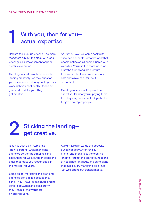## With you, then for you actual expertise.

Beware the suck-up briefing. Too many marketers run out the clock with long briefings as a smokescreen for poor creative execution.

1

Great agencies know they'll stick the landing creatively—so they question your assumptions during briefing. They work with you confidently—then shift gear and work for you. They get creative.

At Hunt & Hawk we come back with executed concepts—creative work that people notice on billboards. Same with websites. You're in the room while we craft the funnel and architecture, then we finish off wireframes on our own and circle back for input on content.

Great agencies should speak from expertise. It's what you're paying them for. They may be a little 'fuck yeah'—but they're never 'yes' people.

## 2 Sticking the landing get creative.

Nike has 'Just do it'. Apple has 'Think different'. Great marketing agencies deliver the straplines and executions for web, outdoor, social and email that make you recognisable in the market—for years.

Some digital marketing and branding agencies don't do it, because they can't. They'll have 10 designers and no senior copywriter. If it looks pretty, they'll ship it—the words are an afterthought.

At Hunt & Hawk we do the opposite our senior copywriter runs our briefs—and then sticks the creative landing. You get the brand foundations of headlines, language, and campaigns that make every marketing dollar not just well-spent, but transformative.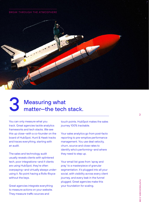#### BREAK THROUGH THE ATMOSPHERE



## 3 Measuring what matter—the tech stack.

You can only measure what you track. Great agencies tackle analytics frameworks and tech stacks. We see this up close—with a co-founder on the board of HubSpot, Hunt & Hawk tracks and traces everything, starting with an audit.

The sales and technology audit usually reveals clients with splintered tech, poor integrations—and if clients are using HubSpot, they're often overpaying—and virtually always underusing it. No point having a Rolls-Royce without the keys.

Great agencies integrate everything to measure actions on your website. They measure traffic sources and

touch points. HubSpot makes the sales journey 100% trackable.

Your sales analytics go from post-facto reporting to pre-emptive performance management. You use deal velocity, churn, source and close rates to identify who's performing—and where they need to step up.

Your email list goes from 'spray and pray' to a masterpiece of granular segmentation. It's plugged into all your social, with visibility across every client journey, and every leak in the funnel plugged. Great agencies make this your foundation for scaling.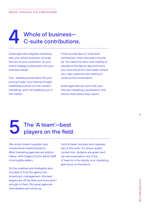## 4 Whole of business— C-suite contributions.

Great agencies integrate marketing with your whole business—through the lens of your customers. So your brand strategy pushes back into your business design.

Your website pushes back into your pricing model. Your internal thought leadership pushes out into content marketing—and it all redefines you in the market.

If that sounds like a C-suite level contribution, that's because it should be. You need the vision and visibility to rise above the day-to-day and knock your own brand into next week—where your new customers are waiting to continue the conversation.

Great agencies can work with your inhouse marketing coordinators—and mentor them when they need it.

## 5 The 'A team'—best players on the field.

We reckon there's a golden ratio of executives toadministrators. Most marketing agencies are bottom heavy—with heaps of junior admin staff churningthe waters.

So the creatives and strategists who founded or built the agency are drowning in management—the best players are off the field, and there aren't enough of them. But great agencies have leaders who show up.

Hunt & Hawk founders and creatives are on the tools—it's where quality comes from. Systems are great—and we love automation—but if the 'A' team is in the stands, your marketing gets stuck on the bench.